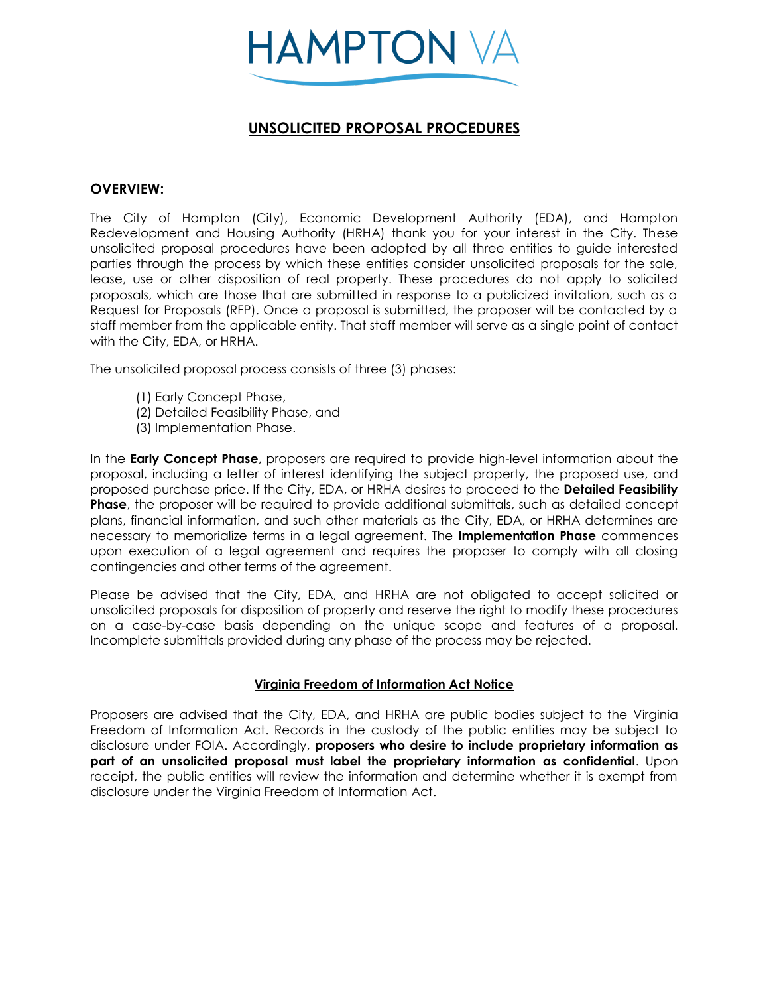

# **UNSOLICITED PROPOSAL PROCEDURES**

# **OVERVIEW:**

The City of Hampton (City), Economic Development Authority (EDA), and Hampton Redevelopment and Housing Authority (HRHA) thank you for your interest in the City. These unsolicited proposal procedures have been adopted by all three entities to guide interested parties through the process by which these entities consider unsolicited proposals for the sale, lease, use or other disposition of real property. These procedures do not apply to solicited proposals, which are those that are submitted in response to a publicized invitation, such as a Request for Proposals (RFP). Once a proposal is submitted, the proposer will be contacted by a staff member from the applicable entity. That staff member will serve as a single point of contact with the City, EDA, or HRHA.

The unsolicited proposal process consists of three (3) phases:

- (1) Early Concept Phase,
- (2) Detailed Feasibility Phase, and
- (3) Implementation Phase.

In the **Early Concept Phase**, proposers are required to provide high-level information about the proposal, including a letter of interest identifying the subject property, the proposed use, and proposed purchase price. If the City, EDA, or HRHA desires to proceed to the **Detailed Feasibility Phase**, the proposer will be required to provide additional submittals, such as detailed concept plans, financial information, and such other materials as the City, EDA, or HRHA determines are necessary to memorialize terms in a legal agreement. The **Implementation Phase** commences upon execution of a legal agreement and requires the proposer to comply with all closing contingencies and other terms of the agreement.

Please be advised that the City, EDA, and HRHA are not obligated to accept solicited or unsolicited proposals for disposition of property and reserve the right to modify these procedures on a case-by-case basis depending on the unique scope and features of a proposal. Incomplete submittals provided during any phase of the process may be rejected.

# **Virginia Freedom of Information Act Notice**

Proposers are advised that the City, EDA, and HRHA are public bodies subject to the Virginia Freedom of Information Act. Records in the custody of the public entities may be subject to disclosure under FOIA. Accordingly, **proposers who desire to include proprietary information as part of an unsolicited proposal must label the proprietary information as confidential**. Upon receipt, the public entities will review the information and determine whether it is exempt from disclosure under the Virginia Freedom of Information Act.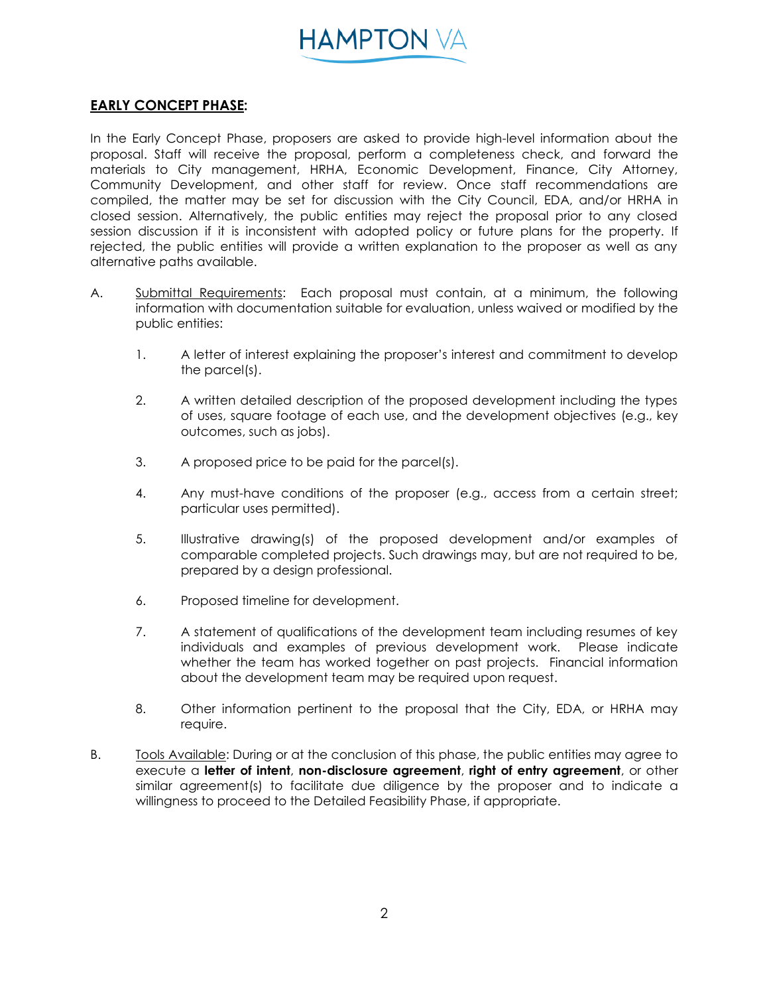

# **EARLY CONCEPT PHASE:**

In the Early Concept Phase, proposers are asked to provide high-level information about the proposal. Staff will receive the proposal, perform a completeness check, and forward the materials to City management, HRHA, Economic Development, Finance, City Attorney, Community Development, and other staff for review. Once staff recommendations are compiled, the matter may be set for discussion with the City Council, EDA, and/or HRHA in closed session. Alternatively, the public entities may reject the proposal prior to any closed session discussion if it is inconsistent with adopted policy or future plans for the property. If rejected, the public entities will provide a written explanation to the proposer as well as any alternative paths available.

- A. Submittal Requirements: Each proposal must contain, at a minimum, the following information with documentation suitable for evaluation, unless waived or modified by the public entities:
	- 1. A letter of interest explaining the proposer's interest and commitment to develop the parcel(s).
	- 2. A written detailed description of the proposed development including the types of uses, square footage of each use, and the development objectives (e.g., key outcomes, such as jobs).
	- 3. A proposed price to be paid for the parcel(s).
	- 4. Any must-have conditions of the proposer (e.g., access from a certain street; particular uses permitted).
	- 5. Illustrative drawing(s) of the proposed development and/or examples of comparable completed projects. Such drawings may, but are not required to be, prepared by a design professional.
	- 6. Proposed timeline for development.
	- 7. A statement of qualifications of the development team including resumes of key individuals and examples of previous development work. Please indicate whether the team has worked together on past projects. Financial information about the development team may be required upon request.
	- 8. Other information pertinent to the proposal that the City, EDA, or HRHA may require.
- B. Tools Available: During or at the conclusion of this phase, the public entities may agree to execute a **letter of intent**, **non-disclosure agreement**, **right of entry agreement**, or other similar agreement(s) to facilitate due diligence by the proposer and to indicate a willingness to proceed to the Detailed Feasibility Phase, if appropriate.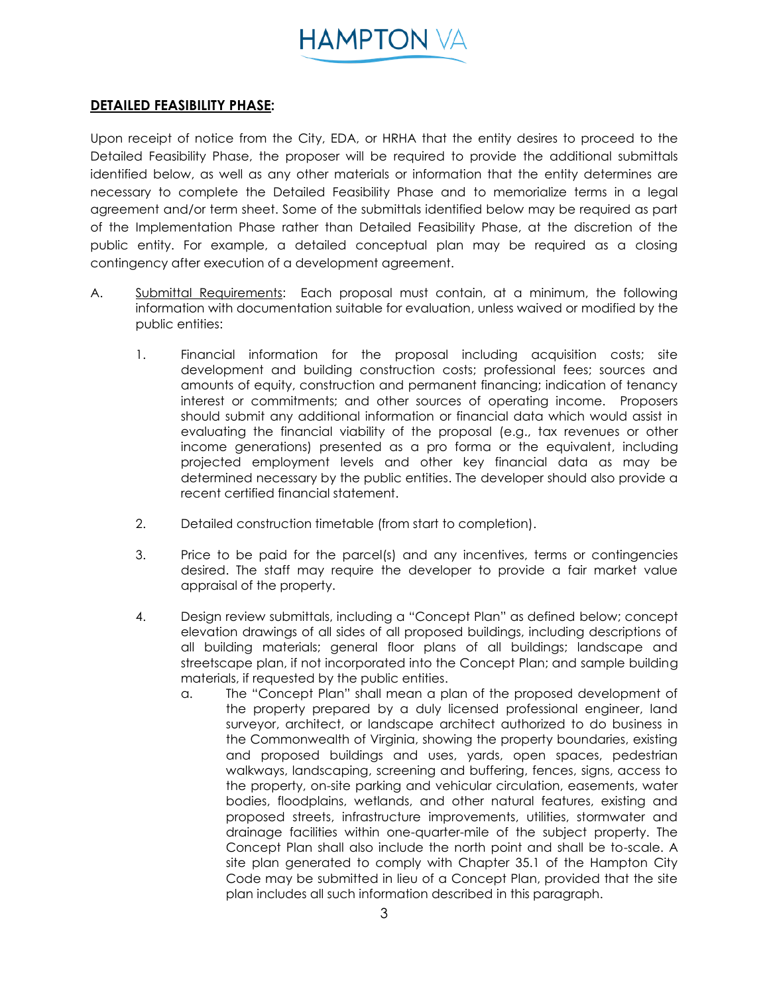

# **DETAILED FEASIBILITY PHASE:**

Upon receipt of notice from the City, EDA, or HRHA that the entity desires to proceed to the Detailed Feasibility Phase, the proposer will be required to provide the additional submittals identified below, as well as any other materials or information that the entity determines are necessary to complete the Detailed Feasibility Phase and to memorialize terms in a legal agreement and/or term sheet. Some of the submittals identified below may be required as part of the Implementation Phase rather than Detailed Feasibility Phase, at the discretion of the public entity. For example, a detailed conceptual plan may be required as a closing contingency after execution of a development agreement.

- A. Submittal Requirements: Each proposal must contain, at a minimum, the following information with documentation suitable for evaluation, unless waived or modified by the public entities:
	- 1. Financial information for the proposal including acquisition costs; site development and building construction costs; professional fees; sources and amounts of equity, construction and permanent financing; indication of tenancy interest or commitments; and other sources of operating income. Proposers should submit any additional information or financial data which would assist in evaluating the financial viability of the proposal (e.g., tax revenues or other income generations) presented as a pro forma or the equivalent, including projected employment levels and other key financial data as may be determined necessary by the public entities. The developer should also provide a recent certified financial statement.
	- 2. Detailed construction timetable (from start to completion).
	- 3. Price to be paid for the parcel(s) and any incentives, terms or contingencies desired. The staff may require the developer to provide a fair market value appraisal of the property.
	- 4. Design review submittals, including a "Concept Plan" as defined below; concept elevation drawings of all sides of all proposed buildings, including descriptions of all building materials; general floor plans of all buildings; landscape and streetscape plan, if not incorporated into the Concept Plan; and sample building materials, if requested by the public entities.
		- a. The "Concept Plan" shall mean a plan of the proposed development of the property prepared by a duly licensed professional engineer, land surveyor, architect, or landscape architect authorized to do business in the Commonwealth of Virginia, showing the property boundaries, existing and proposed buildings and uses, yards, open spaces, pedestrian walkways, landscaping, screening and buffering, fences, signs, access to the property, on-site parking and vehicular circulation, easements, water bodies, floodplains, wetlands, and other natural features, existing and proposed streets, infrastructure improvements, utilities, stormwater and drainage facilities within one-quarter-mile of the subject property. The Concept Plan shall also include the north point and shall be to-scale. A site plan generated to comply with Chapter 35.1 of the Hampton City Code may be submitted in lieu of a Concept Plan, provided that the site plan includes all such information described in this paragraph.